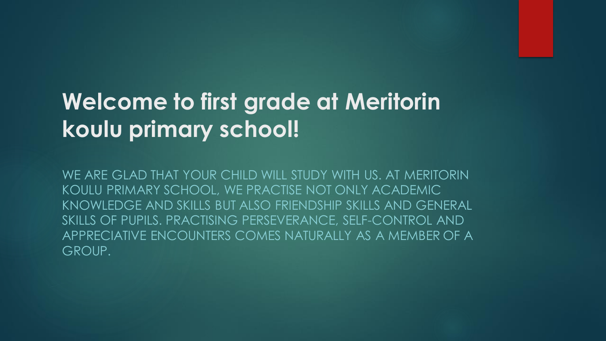#### **Welcome to first grade at Meritorin koulu primary school!**

WE ARE GLAD THAT YOUR CHILD WILL STUDY WITH US. AT MERITORIN KOULU PRIMARY SCHOOL, WE PRACTISE NOT ONLY ACADEMIC KNOWLEDGE AND SKILLS BUT ALSO FRIENDSHIP SKILLS AND GENERAL SKILLS OF PUPILS. PRACTISING PERSEVERANCE, SELF-CONTROL AND APPRECIATIVE ENCOUNTERS COMES NATURALLY AS A MEMBER OF A GROUP.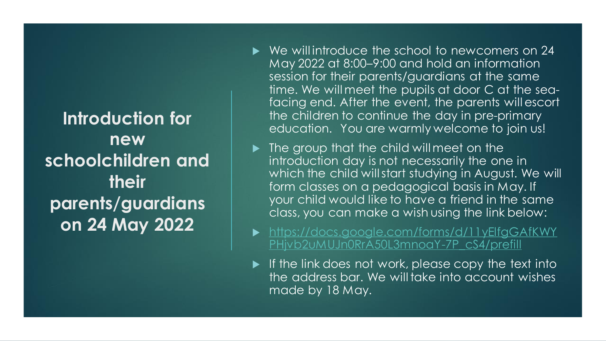**Introduction for new schoolchildren and their parents/guardians on 24 May 2022**

- $\triangleright$  We will introduce the school to new comers on 24 May 2022 at 8:00–9:00 and hold an information session for their parents/guardians at the same time. We will meet the pupils at door C at the seafacing end. After the event, the parents will escort the children to continue the day in pre-primary education. You are warmly welcome to join us!
- $\blacktriangleright$  The group that the child will meet on the introduction day is not necessarily the one in which the child will start studying in August. We will form classes on a pedagogical basis in May. If your child would like to have a friend in the same class, you can make a wish using the link below:
- ▶ [https://docs.google.com/forms/d/11yElfgGAfKWY](https://docs.google.com/forms/d/11yElfgGAfKWYPHjvb2uMUJn0RrA50L3mnoaY-7P_cS4/prefill) PHjvb2uMUJn0RrA50L3mnoaY-7P\_cS4/prefill
- $\blacktriangleright$  If the link does not work, please copy the text into the address bar. We will take into account wishes made by 18 May.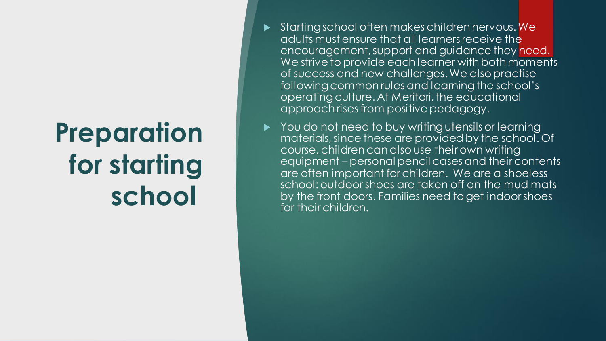## **Preparation for starting school**

- Starting school often makes children nervous. We adults must ensure that all learners receive the encouragement, support and guidance they need. We strive to provide each learner with both moments of success and new challenges. We also practise following common rules and learning the school's operating culture. At Meritori, the educational approach rises from positive pedagogy.
- You do not need to buy writing utensils or learning materials, since these are provided by the school. Of course, children can also use their own writing equipment – personal pencil cases and their contents are often important for children. We are a shoeless school: outdoor shoes are taken off on the mud mats by the front doors. Families need to get indoor shoes for their children.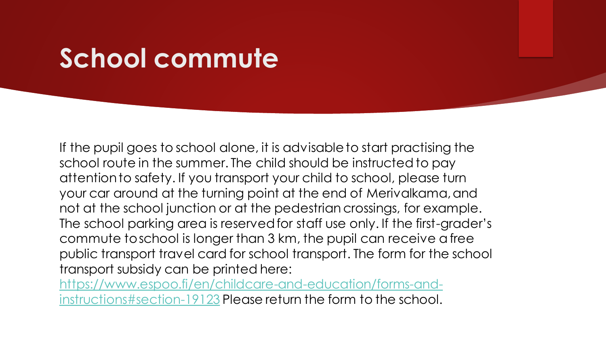### **School commute**

If the pupil goes to school alone, it is advisable to start practising the school route in the summer. The child should be instructed to pay attention to safety. If you transport your child to school, please turn your car around at the turning point at the end of Merivalkama, and not at the school junction or at the pedestrian crossings, for example. The school parking area is reserved for staff use only. If the first-grader's commute to school is longer than 3 km, the pupil can receive a free public transport travel card for school transport. The form for the school transport subsidy can be printed here:

[https://www.espoo.fi/en/childcare-and-education/forms-and](https://www.espoo.fi/en/childcare-and-education/forms-and-instructions)instructions#section-19123 Please return the form to the school.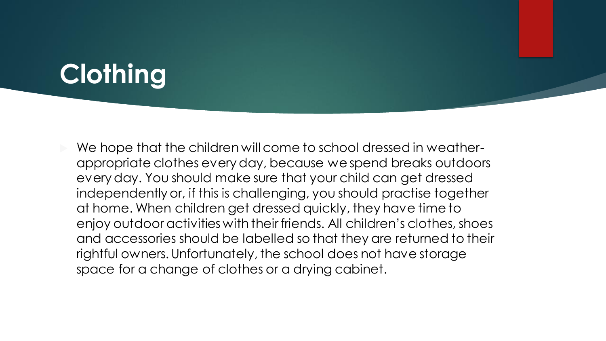### **Clothing**

 We hope that the children will come to school dressed in weatherappropriate clothes every day, because we spend breaks outdoors every day. You should make sure that your child can get dressed independently or, if this is challenging, you should practise together at home. When children get dressed quickly, they have time to enjoy outdoor activities with their friends. All children's clothes, shoes and accessories should be labelled so that they are returned to their rightful owners. Unfortunately, the school does not have storage space for a change of clothes or a drying cabinet.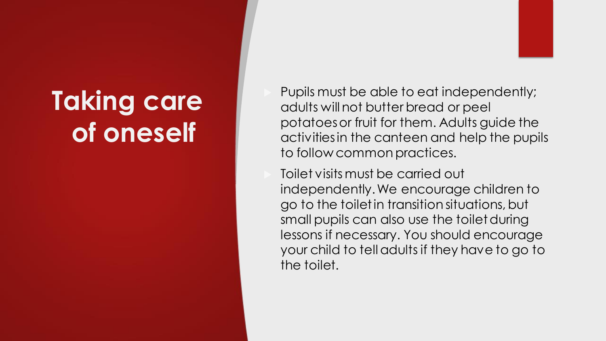## **Taking care of oneself**

 Pupils must be able to eat independently; adults will not butter bread or peel potatoes or fruit for them. Adults guide the activities in the canteen and help the pupils to follow common practices.

 Toilet visits must be carried out independently. We encourage children to go to the toilet in transition situations, but small pupils can also use the toilet during lessons if necessary. You should encourage your child to tell adults if they have to go to the toilet.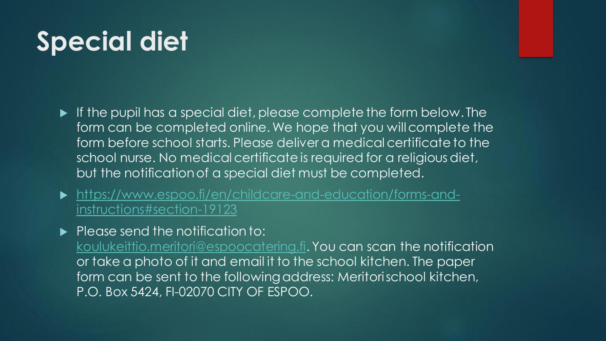## **Special diet**

- If the pupil has a special diet, please complete the form below. The form can be completed online. We hope that you will complete the form before school starts. Please deliver a medical certificate to the school nurse. No medical certificate is required for a religious diet, but the notification of a special diet must be completed.
- [https://www.espoo.fi/en/childcare-and-education/forms-and](https://www.espoo.fi/en/childcare-and-education/forms-and-instructions)instructions#section-19123
- $\blacktriangleright$  Please send the notification to:

[koulukeittio.meritori@espoocatering.fi.](mailto:koulukeittio.meritori@espoocatering.fi) You can scan the notification or take a photo of it and email it to the school kitchen. The paper form can be sent to the following address: Meritorischool kitchen, P.O. Box 5424, FI-02070 CITY OF ESPOO.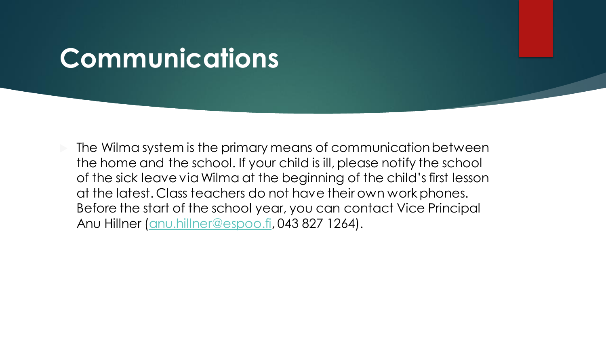#### **Communications**

 $\triangleright$  The Wilma system is the primary means of communication between the home and the school. If your child is ill, please notify the school of the sick leave via Wilma at the beginning of the child's first lesson at the latest. Class teachers do not have their own work phones. Before the start of the school year, you can contact Vice Principal Anu Hillner ([anu.hillner@espoo.fi,](mailto:anu.hillner@espoo.fi) 043 827 1264).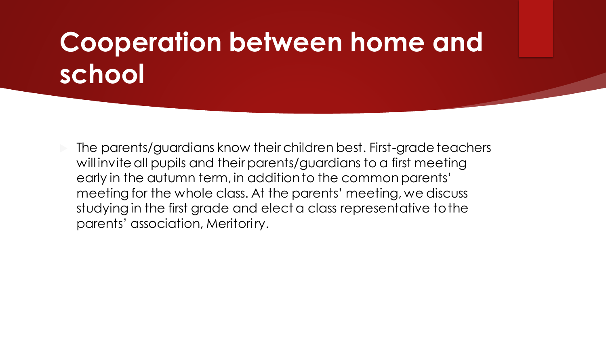## **Cooperation between home and school**

 $\triangleright$  The parents/guardians know their children best. First-grade teachers will invite all pupils and their parents/guardians to a first meeting early in the autumn term, in addition to the common parents' meeting for the whole class. At the parents' meeting, we discuss studying in the first grade and elect a class representative to the parents' association, Meritoriry.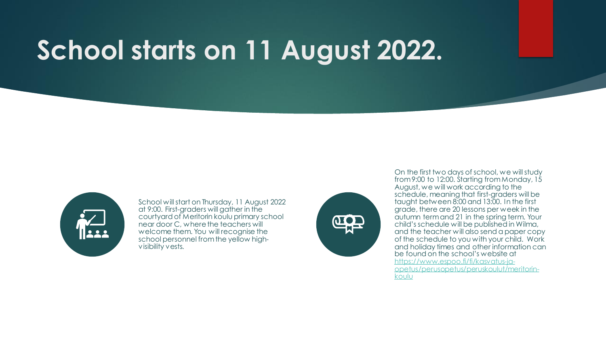## **School starts on 11 August 2022.**



School will start on Thursday, 11 August 2022 at 9:00. First-graders will gather in the courtyard of Meritorin koulu primary school near door C, where the teachers will welcome them. You will recognise the school personnel from the yellow highvisibility vests.



On the first two days of school, we will study from 9:00 to 12:00. Starting from Monday, 15 August, we will work according to the schedule, meaning that first-graders will be taught between 8:00 and 13:00. In the first grade, there are 20 lessons per week in the autumn term and 21 in the spring term. Your child's schedule will be published in Wilma, and the teacher will also send a paper copy of the schedule to you with your child. Work and holiday times and other information can be found on the school's website at https://www.espoo.fi/fi/kasvatus-ja[opetus/perusopetus/peruskoulut/meritorin](https://www.espoo.fi/fi/kasvatus-ja-opetus/perusopetus/peruskoulut/meritorin-koulu)koulu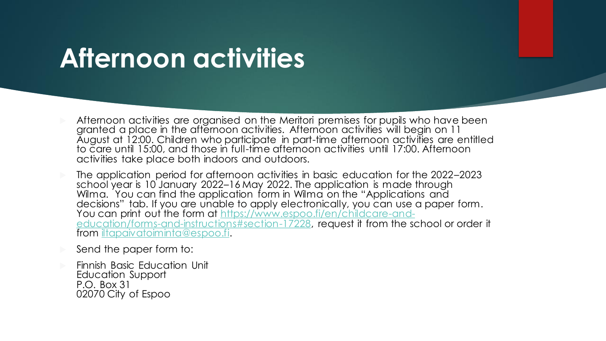#### **Afternoon activities**

- Afternoon activities are organised on the Meritori premises for pupils who have been granted a place in the afternoon activities. Afternoon activities will begin on 11 August at 12:00. Children who participate in part-time afternoon activities are entitled to care until 15:00, and those in full-time afternoon activities until 17:00. Afternoon activities take place both indoors and outdoors.
- The application period for afternoon activities in basic education for the 2022–2023 school year is 10 January 2022–16 May 2022. The application is made through Wilma. You can find the application form in Wilma on the "Applications and decisions" tab. If you are unable to apply electronically, you can use a paper form. You can print out the form at https://www.espoo.fi/en/childcare-and[education/forms-and-instructions#section-17228, request it from the sc](https://www.espoo.fi/en/childcare-and-education/forms-and-instructions)hool or order it from [iltapaivatoiminta@espoo.fi.](mailto:iltapaivatoiminta@espoo.fi)
- Send the paper form to:
- Finnish Basic Education Unit Education Support P.O. Box 31 02070 City of Espoo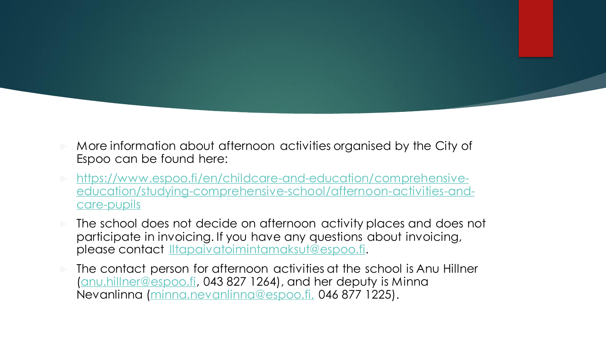- More information about afternoon activities organised by the City of Espoo can be found here:
- https://www.espoo.fi/en/childcare-and-education/comprehensive[education/studying-comprehensive-school/afternoon-activities-and](https://www.espoo.fi/en/childcare-and-education/comprehensive-education/studying-comprehensive-school/afternoon-activities-and-care-pupils)care-pupils
- The school does not decide on afternoon activity places and does not participate in invoicing. If you have any questions about invoicing, please contact [Iltapaivatoimintamaksut@espoo.fi](mailto:Iltapaivatoimintamaksut@espoo.fi).
- The contact person for afternoon activities at the school is Anu Hillner [\(anu.hillner@espoo.fi,](mailto:anu.hillner@espoo.fi) 043 827 1264), and her deputy is Minna Nevanlinna [\(minna.nevanlinna@espoo.fi,](mailto:minna.nevanlinna@espoo.fi) 046 877 1225).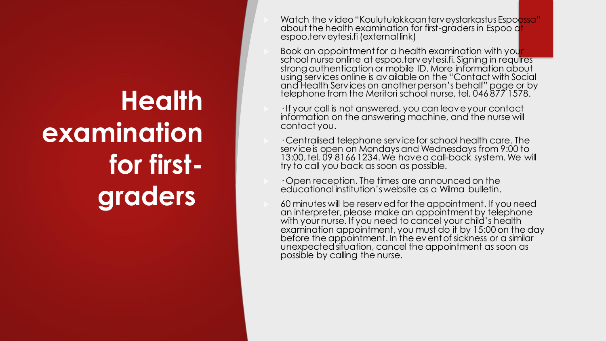## **Health examination for firstgraders**

- Watch the video "Koulutulokkaanterveystarkastus Espoossa" about the health examination for first-graders in Espoo at espoo.terveytesi.fi (external link)
- Book an appointment for a health examination with your school nurse online at espoo.terveytesi.fi. Signing in requires strong authentication or mobile ID. More information about using services online is available on the "Contact with Social and Health Services on another person's behalf" page or by telephone from the Meritori school nurse, tel. 046 877 1578.
- · If your call is not answered, you can leave your contact information on the answering machine, and the nurse will contact you.
- · Centralised telephone service for school health care. The service is open on Mondays and Wednesdays from 9:00 to 13:00, tel. 09 8166 1234. We have a call-back system. We will try to call you back as soon as possible.
- · Open reception. The times are announced on the educational institution's website as a Wilma bulletin.
- 60 minutes will be reserved for the appointment. If you need an interpreter, please make an appointment by telephone with your nurse. If you need to cancel your child's health examination appointment, you must do it by 15:00 on the day before the appointment. In the event of sickness or a similar unexpected situation, cancel the appointment as soon as possible by calling the nurse.